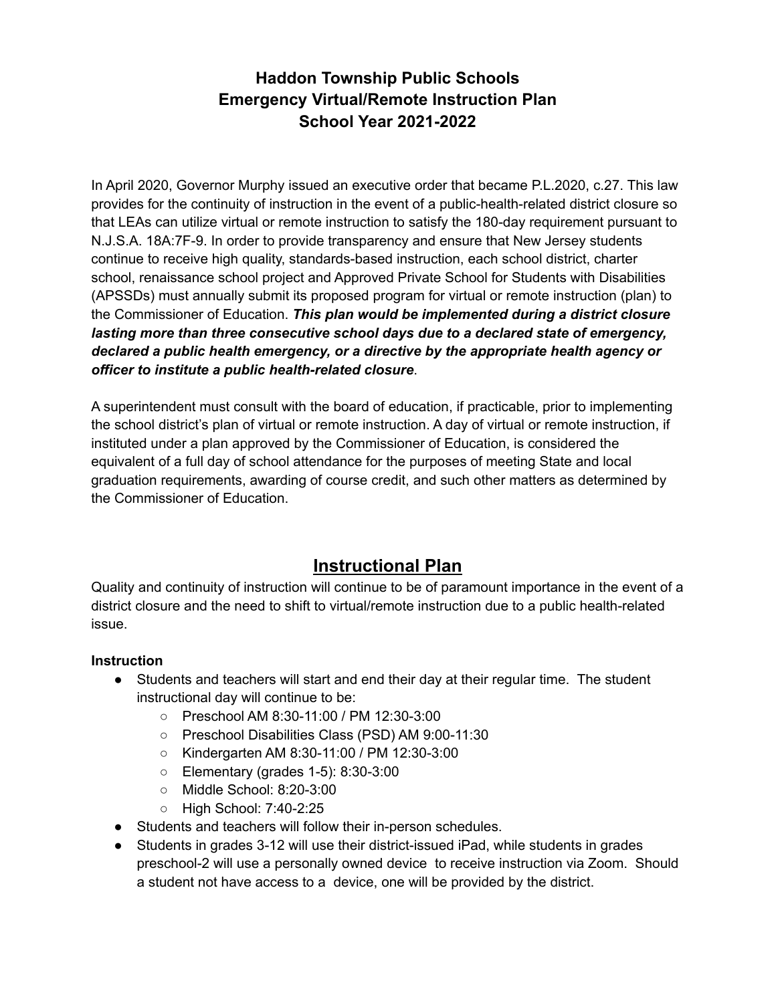In April 2020, Governor Murphy issued an executive order that became P.L.2020, c.27. This law provides for the continuity of instruction in the event of a public-health-related district closure so that LEAs can utilize virtual or remote instruction to satisfy the 180-day requirement pursuant to N.J.S.A. 18A:7F-9. In order to provide transparency and ensure that New Jersey students continue to receive high quality, standards-based instruction, each school district, charter school, renaissance school project and Approved Private School for Students with Disabilities (APSSDs) must annually submit its proposed program for virtual or remote instruction (plan) to the Commissioner of Education. *This plan would be implemented during a district closure lasting more than three consecutive school days due to a declared state of emergency, declared a public health emergency, or a directive by the appropriate health agency or officer to institute a public health-related closure*.

A superintendent must consult with the board of education, if practicable, prior to implementing the school district's plan of virtual or remote instruction. A day of virtual or remote instruction, if instituted under a plan approved by the Commissioner of Education, is considered the equivalent of a full day of school attendance for the purposes of meeting State and local graduation requirements, awarding of course credit, and such other matters as determined by the Commissioner of Education.

# **Instructional Plan**

Quality and continuity of instruction will continue to be of paramount importance in the event of a district closure and the need to shift to virtual/remote instruction due to a public health-related issue.

#### **Instruction**

- Students and teachers will start and end their day at their regular time. The student instructional day will continue to be:
	- Preschool AM 8:30-11:00 / PM 12:30-3:00
	- Preschool Disabilities Class (PSD) AM 9:00-11:30
	- Kindergarten AM 8:30-11:00 / PM 12:30-3:00
	- Elementary (grades 1-5): 8:30-3:00
	- Middle School: 8:20-3:00
	- High School: 7:40-2:25
- Students and teachers will follow their in-person schedules.
- Students in grades 3-12 will use their district-issued iPad, while students in grades preschool-2 will use a personally owned device to receive instruction via Zoom. Should a student not have access to a device, one will be provided by the district.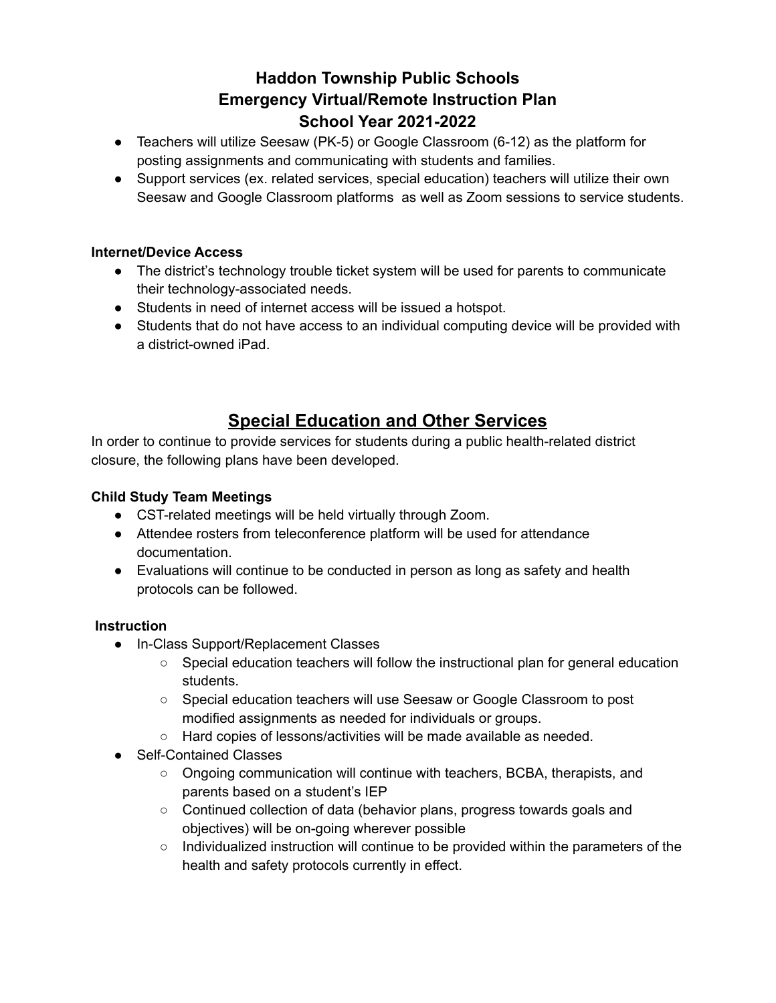- Teachers will utilize Seesaw (PK-5) or Google Classroom (6-12) as the platform for posting assignments and communicating with students and families.
- Support services (ex. related services, special education) teachers will utilize their own Seesaw and Google Classroom platforms as well as Zoom sessions to service students.

#### **Internet/Device Access**

- The district's technology trouble ticket system will be used for parents to communicate their technology-associated needs.
- Students in need of internet access will be issued a hotspot.
- Students that do not have access to an individual computing device will be provided with a district-owned iPad.

# **Special Education and Other Services**

In order to continue to provide services for students during a public health-related district closure, the following plans have been developed.

### **Child Study Team Meetings**

- CST-related meetings will be held virtually through Zoom.
- Attendee rosters from teleconference platform will be used for attendance documentation.
- Evaluations will continue to be conducted in person as long as safety and health protocols can be followed.

#### **Instruction**

- In-Class Support/Replacement Classes
	- $\circ$  Special education teachers will follow the instructional plan for general education students.
	- Special education teachers will use Seesaw or Google Classroom to post modified assignments as needed for individuals or groups.
	- Hard copies of lessons/activities will be made available as needed.
- Self-Contained Classes
	- Ongoing communication will continue with teachers, BCBA, therapists, and parents based on a student's IEP
	- Continued collection of data (behavior plans, progress towards goals and objectives) will be on-going wherever possible
	- Individualized instruction will continue to be provided within the parameters of the health and safety protocols currently in effect.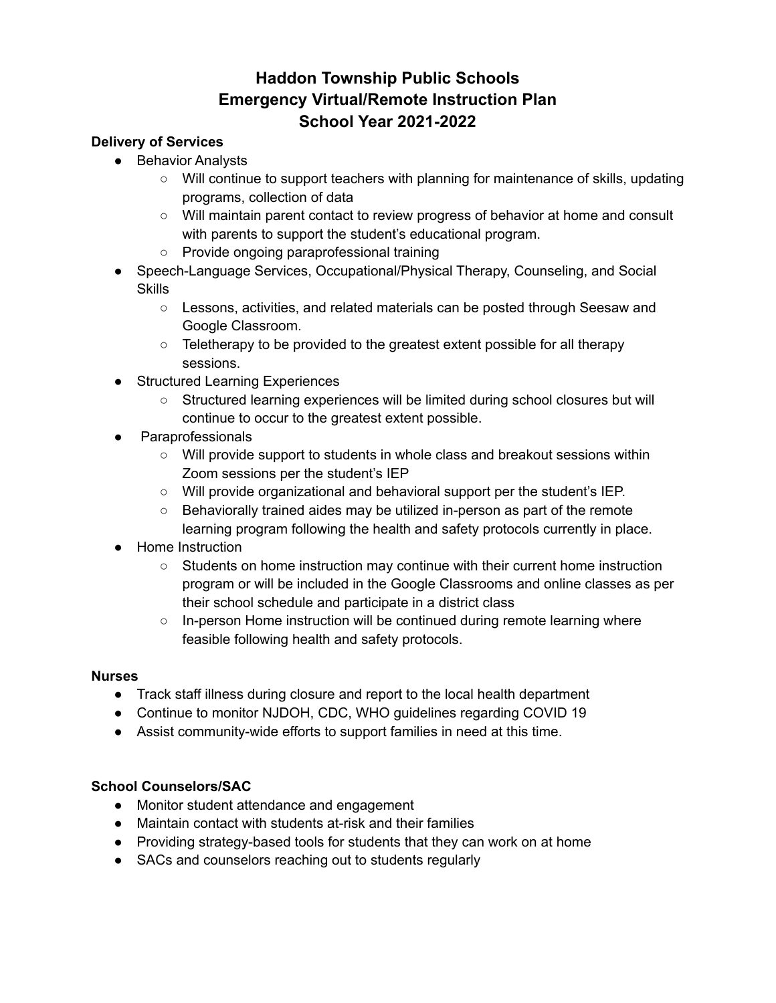#### **Delivery of Services**

- Behavior Analysts
	- Will continue to support teachers with planning for maintenance of skills, updating programs, collection of data
	- Will maintain parent contact to review progress of behavior at home and consult with parents to support the student's educational program.
	- Provide ongoing paraprofessional training
- Speech-Language Services, Occupational/Physical Therapy, Counseling, and Social **Skills** 
	- Lessons, activities, and related materials can be posted through Seesaw and Google Classroom.
	- Teletherapy to be provided to the greatest extent possible for all therapy sessions.
- Structured Learning Experiences
	- Structured learning experiences will be limited during school closures but will continue to occur to the greatest extent possible.
- Paraprofessionals
	- Will provide support to students in whole class and breakout sessions within Zoom sessions per the student's IEP
	- Will provide organizational and behavioral support per the student's IEP.
	- Behaviorally trained aides may be utilized in-person as part of the remote learning program following the health and safety protocols currently in place.
- Home Instruction
	- Students on home instruction may continue with their current home instruction program or will be included in the Google Classrooms and online classes as per their school schedule and participate in a district class
	- $\circ$  In-person Home instruction will be continued during remote learning where feasible following health and safety protocols.

#### **Nurses**

- Track staff illness during closure and report to the local health department
- Continue to monitor NJDOH, CDC, WHO guidelines regarding COVID 19
- Assist community-wide efforts to support families in need at this time.

#### **School Counselors/SAC**

- Monitor student attendance and engagement
- Maintain contact with students at-risk and their families
- Providing strategy-based tools for students that they can work on at home
- SACs and counselors reaching out to students regularly